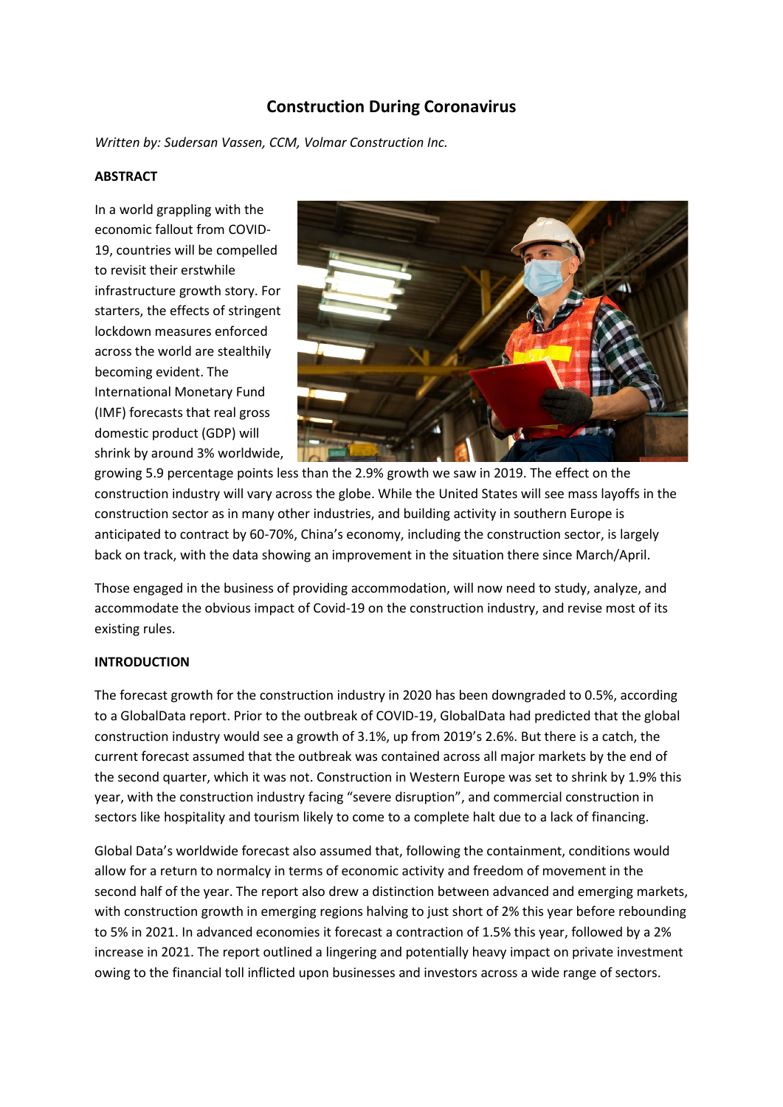# **Construction During Coronavirus**

*Written by: Sudersan Vassen, CCM, Volmar Construction Inc.*

#### **ABSTRACT**

In a world grappling with the economic fallout from COVID-19, countries will be compelled to revisit their erstwhile infrastructure growth story. For starters, the effects of stringent lockdown measures enforced across the world are stealthily becoming evident. The International Monetary Fund (IMF) forecasts that real gross domestic product (GDP) will shrink by around 3% worldwide,



growing 5.9 percentage points less than the 2.9% growth we saw in 2019. The effect on the construction industry will vary across the globe. While the United States will see mass layoffs in the construction sector as in many other industries, and building activity in southern Europe is anticipated to contract by 60-70%, China's economy, including the construction sector, is largely back on track, with the data showing an improvement in the situation there since March/April.

Those engaged in the business of providing accommodation, will now need to study, analyze, and accommodate the obvious impact of Covid-19 on the construction industry, and revise most of its existing rules.

## **INTRODUCTION**

The forecast growth for the construction industry in 2020 has been downgraded to 0.5%, according to a GlobalData report. Prior to the outbreak of COVID-19, GlobalData had predicted that the global construction industry would see a growth of 3.1%, up from 2019's 2.6%. But there is a catch, the current forecast assumed that the outbreak was contained across all major markets by the end of the second quarter, which it was not. Construction in Western Europe was set to shrink by 1.9% this year, with the construction industry facing "severe disruption", and commercial construction in sectors like hospitality and tourism likely to come to a complete halt due to a lack of financing.

Global Data's worldwide forecast also assumed that, following the containment, conditions would allow for a return to normalcy in terms of economic activity and freedom of movement in the second half of the year. The report also drew a distinction between advanced and emerging markets, with construction growth in emerging regions halving to just short of 2% this year before rebounding to 5% in 2021. In advanced economies it forecast a contraction of 1.5% this year, followed by a 2% increase in 2021. The report outlined a lingering and potentially heavy impact on private investment owing to the financial toll inflicted upon businesses and investors across a wide range of sectors.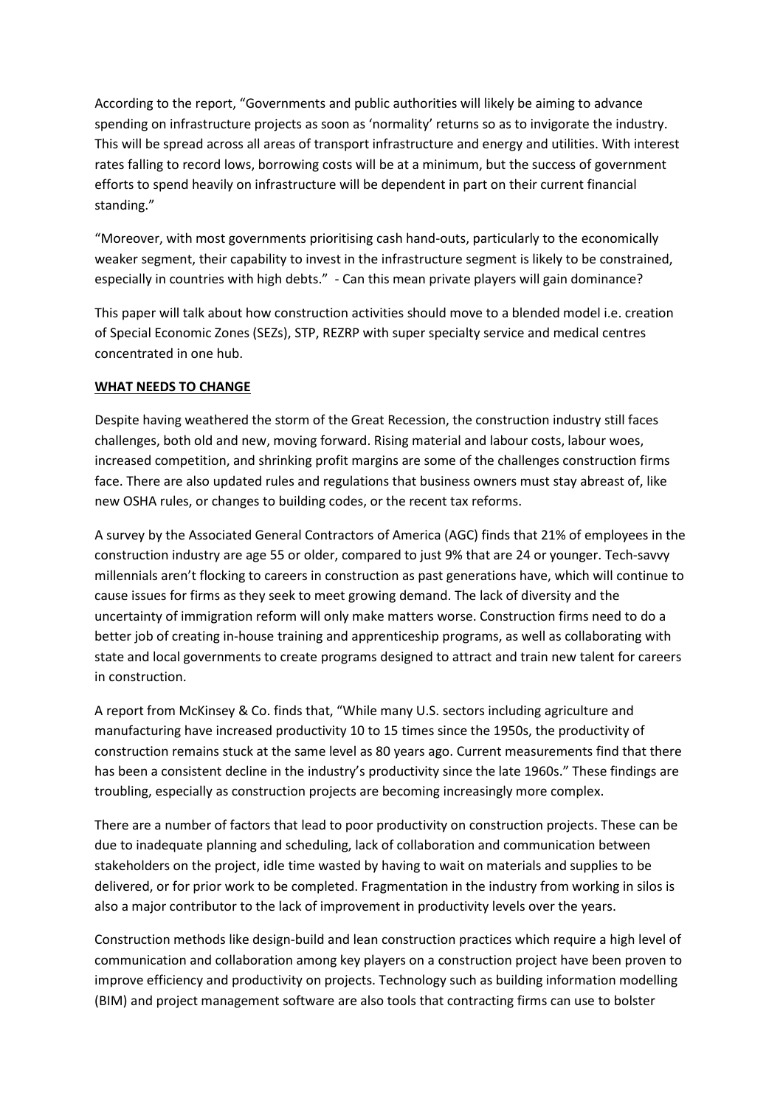According to the report, "Governments and public authorities will likely be aiming to advance spending on infrastructure projects as soon as 'normality' returns so as to invigorate the industry. This will be spread across all areas of transport infrastructure and energy and utilities. With interest rates falling to record lows, borrowing costs will be at a minimum, but the success of government efforts to spend heavily on infrastructure will be dependent in part on their current financial standing."

"Moreover, with most governments prioritising cash hand-outs, particularly to the economically weaker segment, their capability to invest in the infrastructure segment is likely to be constrained, especially in countries with high debts." - Can this mean private players will gain dominance?

This paper will talk about how construction activities should move to a blended model i.e. creation of Special Economic Zones (SEZs), STP, REZRP with super specialty service and medical centres concentrated in one hub.

## **WHAT NEEDS TO CHANGE**

Despite having weathered the storm of the Great Recession, the construction industry still faces challenges, both old and new, moving forward. Rising material and labour costs, labour woes, increased competition, and shrinking profit margins are some of the challenges construction firms face. There are also updated rules and regulations that business owners must stay abreast of, like new OSHA rules, or changes to building codes, or the recent tax reforms.

A survey by the Associated General Contractors of America (AGC) finds that 21% of employees in the construction industry are age 55 or older, compared to just 9% that are 24 or younger. Tech-savvy millennials aren't flocking to careers in construction as past generations have, which will continue to cause issues for firms as they seek to meet growing demand. The lack of diversity and the uncertainty of immigration reform will only make matters worse. Construction firms need to do a better job of creating in-house training and apprenticeship programs, as well as collaborating with state and local governments to create programs designed to attract and train new talent for careers in construction.

A report from McKinsey & Co. finds that, "While many U.S. sectors including agriculture and manufacturing have increased productivity 10 to 15 times since the 1950s, the productivity of construction remains stuck at the same level as 80 years ago. Current measurements find that there has been a consistent decline in the industry's productivity since the late 1960s." These findings are troubling, especially as construction projects are becoming increasingly more complex.

There are a number of factors that lead to poor productivity on construction projects. These can be due to inadequate planning and scheduling, lack of collaboration and communication between stakeholders on the project, idle time wasted by having to wait on materials and supplies to be delivered, or for prior work to be completed. Fragmentation in the industry from working in silos is also a major contributor to the lack of improvement in productivity levels over the years.

Construction methods like design-build and lean construction practices which require a high level of communication and collaboration among key players on a construction project have been proven to improve efficiency and productivity on projects. Technology such as building information modelling (BIM) and project management software are also tools that contracting firms can use to bolster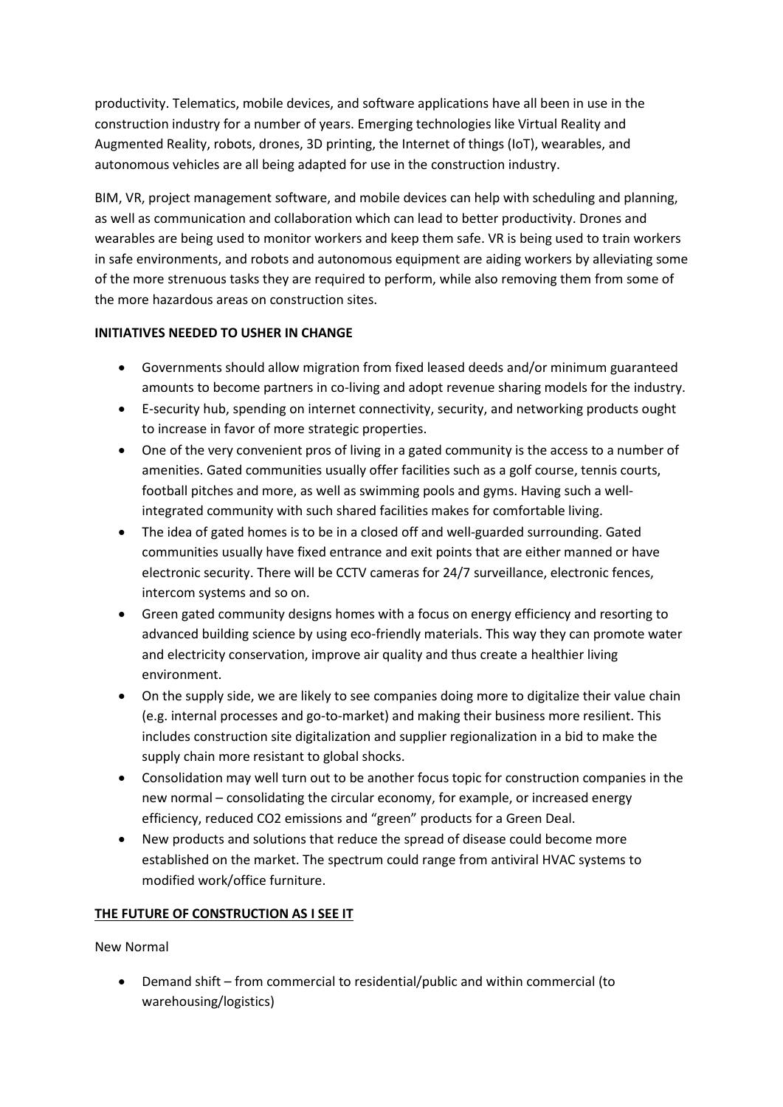productivity. Telematics, mobile devices, and software applications have all been in use in the construction industry for a number of years. Emerging technologies like Virtual Reality and Augmented Reality, robots, drones, 3D printing, the Internet of things (IoT), wearables, and autonomous vehicles are all being adapted for use in the construction industry.

BIM, VR, project management software, and mobile devices can help with scheduling and planning, as well as communication and collaboration which can lead to better productivity. Drones and wearables are being used to monitor workers and keep them safe. VR is being used to train workers in safe environments, and robots and autonomous equipment are aiding workers by alleviating some of the more strenuous tasks they are required to perform, while also removing them from some of the more hazardous areas on construction sites.

## **INITIATIVES NEEDED TO USHER IN CHANGE**

- Governments should allow migration from fixed leased deeds and/or minimum guaranteed amounts to become partners in co-living and adopt revenue sharing models for the industry.
- E-security hub, spending on internet connectivity, security, and networking products ought to increase in favor of more strategic properties.
- One of the very convenient pros of living in a gated community is the access to a number of amenities. Gated communities usually offer facilities such as a golf course, tennis courts, football pitches and more, as well as swimming pools and gyms. Having such a wellintegrated community with such shared facilities makes for comfortable living.
- The idea of gated homes is to be in a closed off and well-guarded surrounding. Gated communities usually have fixed entrance and exit points that are either manned or have electronic security. There will be CCTV cameras for 24/7 surveillance, electronic fences, intercom systems and so on.
- Green gated community designs homes with a focus on energy efficiency and resorting to advanced building science by using eco-friendly materials. This way they can promote water and electricity conservation, improve air quality and thus create a healthier living environment.
- On the supply side, we are likely to see companies doing more to digitalize their value chain (e.g. internal processes and go-to-market) and making their business more resilient. This includes construction site digitalization and supplier regionalization in a bid to make the supply chain more resistant to global shocks.
- Consolidation may well turn out to be another focus topic for construction companies in the new normal – consolidating the circular economy, for example, or increased energy efficiency, reduced CO2 emissions and "green" products for a Green Deal.
- New products and solutions that reduce the spread of disease could become more established on the market. The spectrum could range from antiviral HVAC systems to modified work/office furniture.

## **THE FUTURE OF CONSTRUCTION AS I SEE IT**

New Normal

• Demand shift – from commercial to residential/public and within commercial (to warehousing/logistics)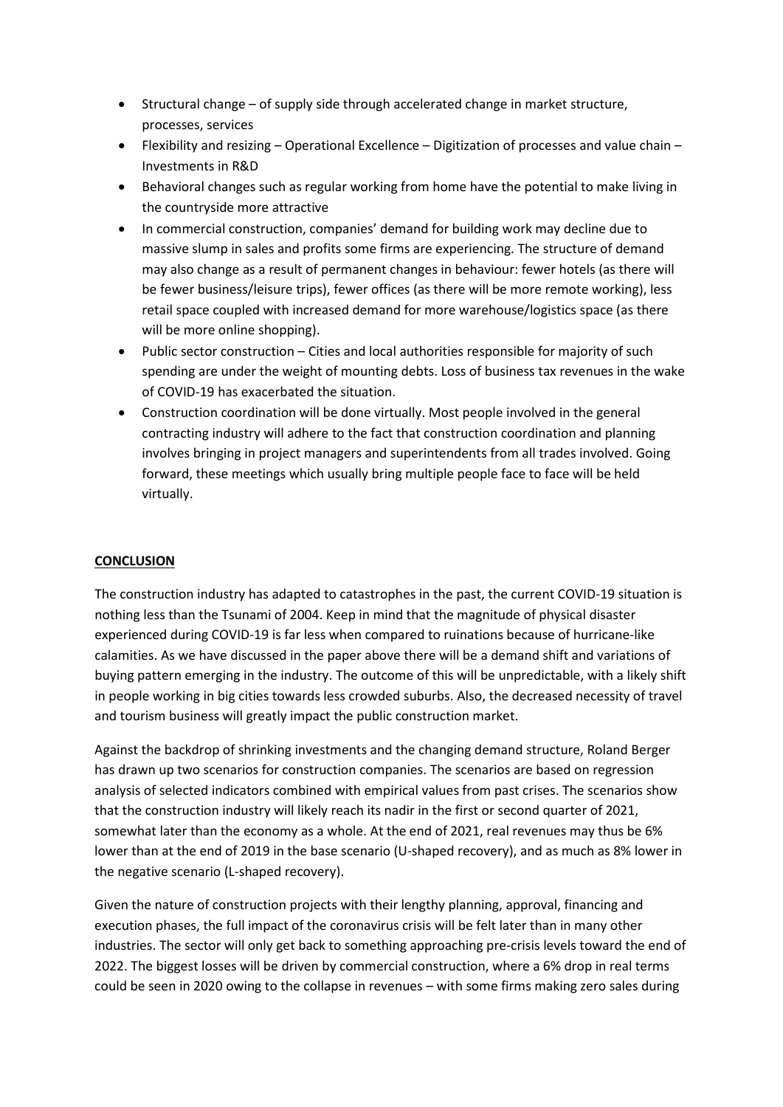- Structural change of supply side through accelerated change in market structure, processes, services
- Flexibility and resizing Operational Excellence Digitization of processes and value chain Investments in R&D
- Behavioral changes such as regular working from home have the potential to make living in the countryside more attractive
- In commercial construction, companies' demand for building work may decline due to massive slump in sales and profits some firms are experiencing. The structure of demand may also change as a result of permanent changes in behaviour: fewer hotels (as there will be fewer business/leisure trips), fewer offices (as there will be more remote working), less retail space coupled with increased demand for more warehouse/logistics space (as there will be more online shopping).
- Public sector construction Cities and local authorities responsible for majority of such spending are under the weight of mounting debts. Loss of business tax revenues in the wake of COVID-19 has exacerbated the situation.
- Construction coordination will be done virtually. Most people involved in the general contracting industry will adhere to the fact that construction coordination and planning involves bringing in project managers and superintendents from all trades involved. Going forward, these meetings which usually bring multiple people face to face will be held virtually.

## **CONCLUSION**

The construction industry has adapted to catastrophes in the past, the current COVID-19 situation is nothing less than the Tsunami of 2004. Keep in mind that the magnitude of physical disaster experienced during COVID-19 is far less when compared to ruinations because of hurricane-like calamities. As we have discussed in the paper above there will be a demand shift and variations of buying pattern emerging in the industry. The outcome of this will be unpredictable, with a likely shift in people working in big cities towards less crowded suburbs. Also, the decreased necessity of travel and tourism business will greatly impact the public construction market.

Against the backdrop of shrinking investments and the changing demand structure, Roland Berger has drawn up two scenarios for construction companies. The scenarios are based on regression analysis of selected indicators combined with empirical values from past crises. The scenarios show that the construction industry will likely reach its nadir in the first or second quarter of 2021, somewhat later than the economy as a whole. At the end of 2021, real revenues may thus be 6% lower than at the end of 2019 in the base scenario (U-shaped recovery), and as much as 8% lower in the negative scenario (L-shaped recovery).

Given the nature of construction projects with their lengthy planning, approval, financing and execution phases, the full impact of the coronavirus crisis will be felt later than in many other industries. The sector will only get back to something approaching pre-crisis levels toward the end of 2022. The biggest losses will be driven by commercial construction, where a 6% drop in real terms could be seen in 2020 owing to the collapse in revenues – with some firms making zero sales during